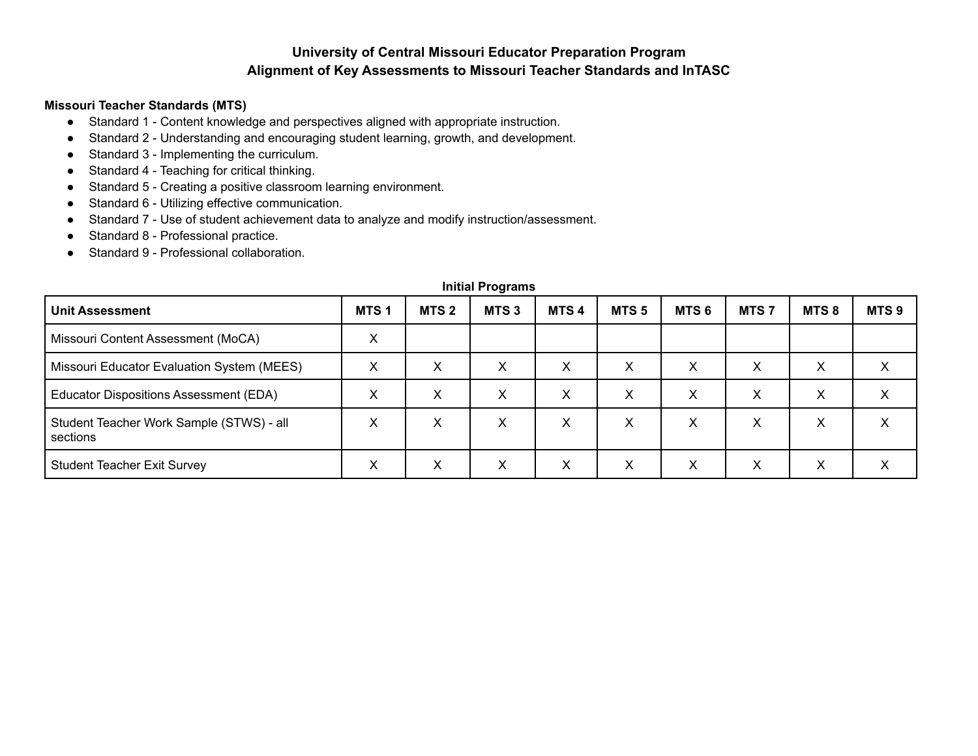## **University of Central Missouri Educator Preparation Program Alignment of Key Assessments to Missouri Teacher Standards and InTASC**

## **Missouri Teacher Standards (MTS)**

- Standard 1 Content knowledge and perspectives aligned with appropriate instruction.
- Standard 2 Understanding and encouraging student learning, growth, and development.
- Standard 3 Implementing the curriculum.
- Standard 4 Teaching for critical thinking.
- Standard 5 Creating a positive classroom learning environment.
- Standard 6 Utilizing effective communication.
- Standard 7 Use of student achievement data to analyze and modify instruction/assessment.
- Standard 8 Professional practice.
- Standard 9 Professional collaboration.

| <b>Unit Assessment</b>                               | MTS <sub>1</sub> | MTS <sub>2</sub> | MTS <sub>3</sub> | MTS <sub>4</sub> | MTS <sub>5</sub> | MTS <sub>6</sub> | MTS <sub>7</sub> | MTS8 | MTS <sub>9</sub> |
|------------------------------------------------------|------------------|------------------|------------------|------------------|------------------|------------------|------------------|------|------------------|
| Missouri Content Assessment (MoCA)                   | х                |                  |                  |                  |                  |                  |                  |      |                  |
| Missouri Educator Evaluation System (MEES)           | X                | X                | X                | х                | х                | X                | Χ                | X    |                  |
| Educator Dispositions Assessment (EDA)               | X                | X                | X                | X                | X                | X                | X                | X    | x                |
| Student Teacher Work Sample (STWS) - all<br>sections | х                | X                | X                | х                | х                | X                | Χ                | X    |                  |
| <b>Student Teacher Exit Survey</b>                   | х                | X                | X                | X                | X                | X                | х                | X    | ⌒                |

## **Initial Programs**